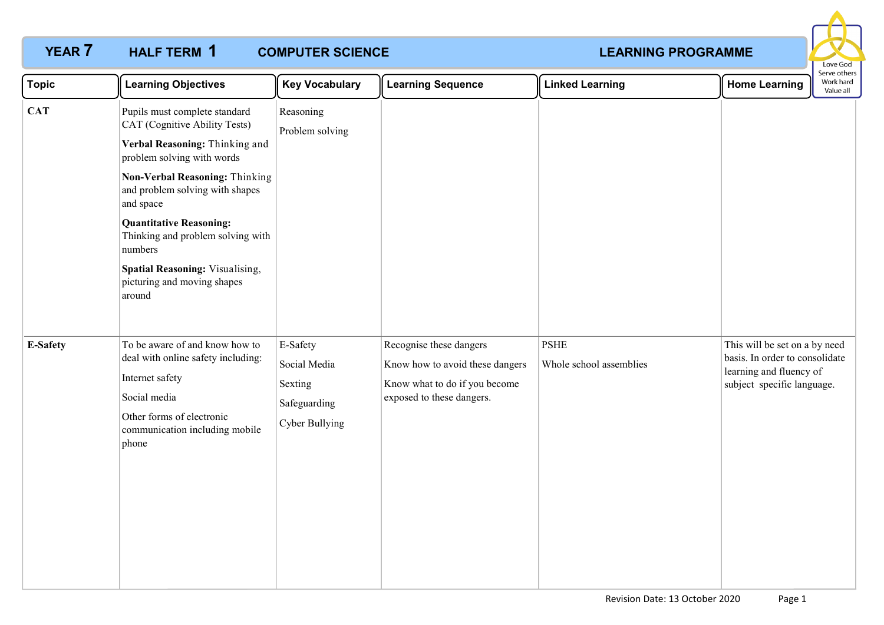### **YEAR 7 HALF TERM 1 COMPUTER SCIENCE COMPUTER SCIENCE COMPUTER SCIENCE COMPUTER SCIENCE** HALF TERM 1



| <b>Topic</b>    | <b>Learning Objectives</b>                                                                                                                                                                                                                                                                                                                                                     | <b>Key Vocabulary</b>                                                 | <b>Learning Sequence</b>                                                                                                 | <b>Linked Learning</b>                 | <b>Home Learning</b>                                                                                                     | Serve others<br>Work hard<br>Value all |
|-----------------|--------------------------------------------------------------------------------------------------------------------------------------------------------------------------------------------------------------------------------------------------------------------------------------------------------------------------------------------------------------------------------|-----------------------------------------------------------------------|--------------------------------------------------------------------------------------------------------------------------|----------------------------------------|--------------------------------------------------------------------------------------------------------------------------|----------------------------------------|
| <b>CAT</b>      | Pupils must complete standard<br>CAT (Cognitive Ability Tests)<br>Verbal Reasoning: Thinking and<br>problem solving with words<br>Non-Verbal Reasoning: Thinking<br>and problem solving with shapes<br>and space<br><b>Quantitative Reasoning:</b><br>Thinking and problem solving with<br>numbers<br>Spatial Reasoning: Visualising,<br>picturing and moving shapes<br>around | Reasoning<br>Problem solving                                          |                                                                                                                          |                                        |                                                                                                                          |                                        |
| <b>E-Safety</b> | To be aware of and know how to<br>deal with online safety including:<br>Internet safety<br>Social media<br>Other forms of electronic<br>communication including mobile<br>phone                                                                                                                                                                                                | E-Safety<br>Social Media<br>Sexting<br>Safeguarding<br>Cyber Bullying | Recognise these dangers<br>Know how to avoid these dangers<br>Know what to do if you become<br>exposed to these dangers. | <b>PSHE</b><br>Whole school assemblies | This will be set on a by need<br>basis. In order to consolidate<br>learning and fluency of<br>subject specific language. |                                        |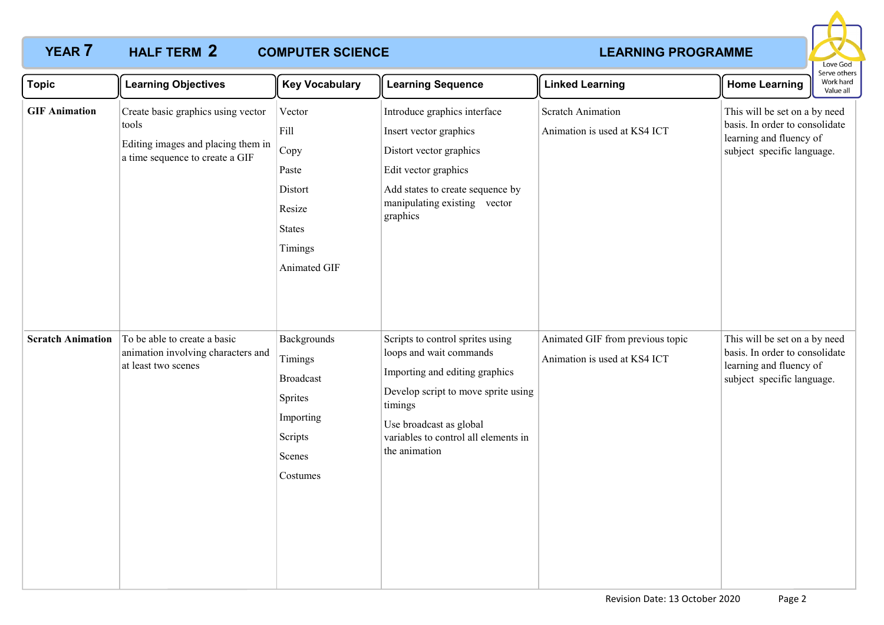### **YEAR 7 HALF TERM 2 COMPUTER SCIENCE COMPUTER SCIENCE COMPUTER SCIENCE HALF TERM 2 COMPUTER SCIENCE**



| <b>Topic</b>             | <b>Learning Objectives</b>                                                                                           | <b>Key Vocabulary</b>                                                                                | <b>Learning Sequence</b>                                                                                                                                                                                                            | <b>Linked Learning</b>                                           | serve otriers<br>Work hard<br><b>Home Learning</b><br>Value all                                                          |
|--------------------------|----------------------------------------------------------------------------------------------------------------------|------------------------------------------------------------------------------------------------------|-------------------------------------------------------------------------------------------------------------------------------------------------------------------------------------------------------------------------------------|------------------------------------------------------------------|--------------------------------------------------------------------------------------------------------------------------|
| <b>GIF Animation</b>     | Create basic graphics using vector<br>tools<br>Editing images and placing them in<br>a time sequence to create a GIF | Vector<br>Fill<br>$ $ Copy<br>Paste<br>Distort<br>Resize<br><b>States</b><br>Timings<br>Animated GIF | Introduce graphics interface<br>Insert vector graphics<br>Distort vector graphics<br>Edit vector graphics<br>Add states to create sequence by<br>manipulating existing vector<br>graphics                                           | <b>Scratch Animation</b><br>Animation is used at KS4 ICT         | This will be set on a by need<br>basis. In order to consolidate<br>learning and fluency of<br>subject specific language. |
| <b>Scratch Animation</b> | To be able to create a basic<br>animation involving characters and<br>at least two scenes                            | Backgrounds<br>Timings<br><b>Broadcast</b><br>Sprites<br>Importing<br>Scripts<br>Scenes<br>Costumes  | Scripts to control sprites using<br>loops and wait commands<br>Importing and editing graphics<br>Develop script to move sprite using<br>timings<br>Use broadcast as global<br>variables to control all elements in<br>the animation | Animated GIF from previous topic<br>Animation is used at KS4 ICT | This will be set on a by need<br>basis. In order to consolidate<br>learning and fluency of<br>subject specific language. |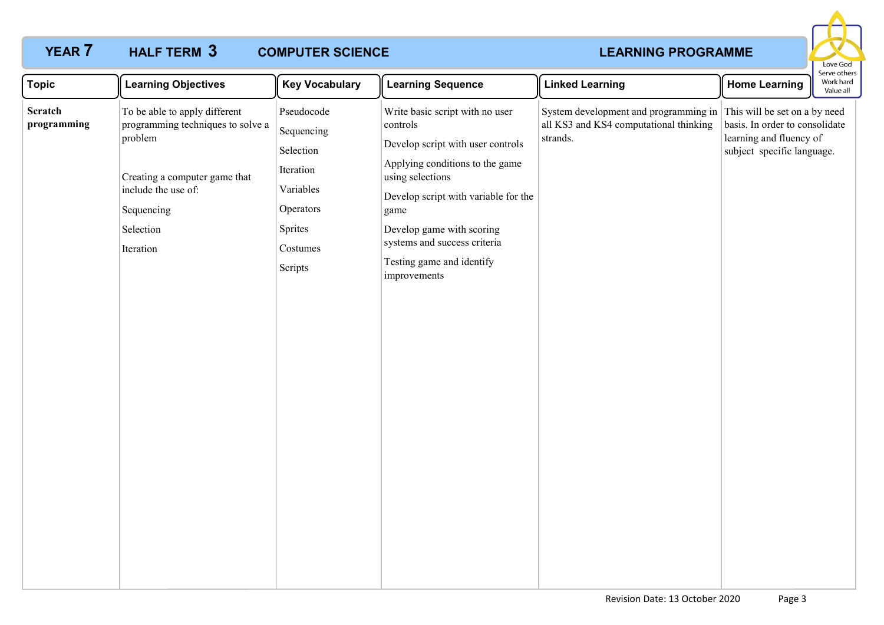# **YEAR 7 HALF TERM 3 COMPUTER SCIENCE COMPUTER SCIENCE COMPUTER SCIENCE**

## **COMPUTER SCIENCE**



| <b>Topic</b>                  | <b>Learning Objectives</b>                                                                                                                                                    | <b>Key Vocabulary</b>                                                                                          | <b>Learning Sequence</b>                                                                                                                                                                                                                                                                          | <b>Linked Learning</b>                                                                                                    | <b>Home Learning</b>                                                                    | Serve others<br>Work hard<br>Value all |
|-------------------------------|-------------------------------------------------------------------------------------------------------------------------------------------------------------------------------|----------------------------------------------------------------------------------------------------------------|---------------------------------------------------------------------------------------------------------------------------------------------------------------------------------------------------------------------------------------------------------------------------------------------------|---------------------------------------------------------------------------------------------------------------------------|-----------------------------------------------------------------------------------------|----------------------------------------|
| <b>Scratch</b><br>programming | To be able to apply different<br>programming techniques to solve a<br>problem<br>Creating a computer game that<br>include the use of:<br>Sequencing<br>Selection<br>Iteration | Pseudocode<br>Sequencing<br>Selection<br>Iteration<br>Variables<br>Operators<br>Sprites<br>Costumes<br>Scripts | Write basic script with no user<br>controls<br>Develop script with user controls<br>Applying conditions to the game<br>using selections<br>Develop script with variable for the<br>game<br>Develop game with scoring<br>systems and success criteria<br>Testing game and identify<br>improvements | System development and programming in This will be set on a by need<br>all KS3 and KS4 computational thinking<br>strands. | basis. In order to consolidate<br>learning and fluency of<br>subject specific language. |                                        |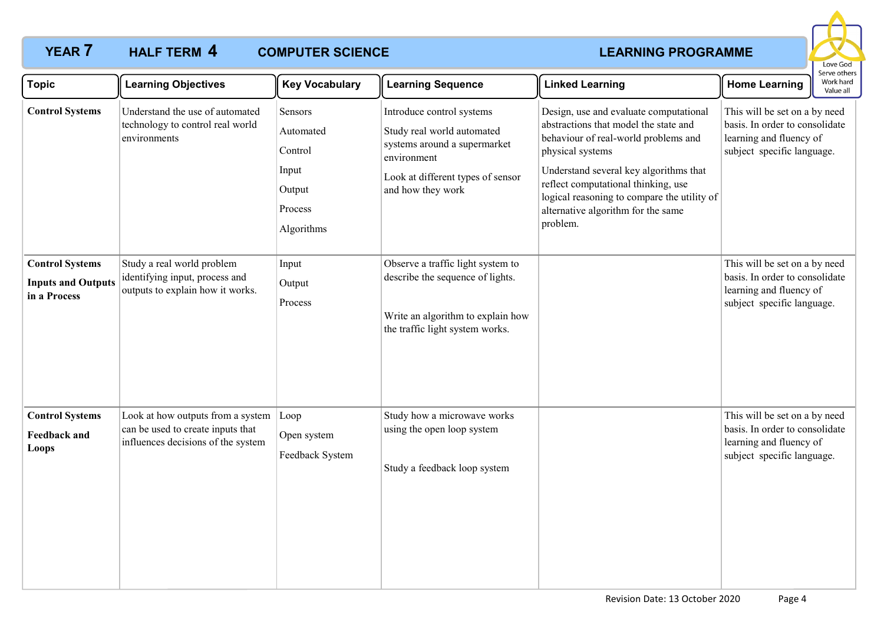### **YEAR 7 HALF TERM 4 COMPUTER SCIENCE COMPUTER SCIENCE COMPUTER SCIENCE COMPUTER SCIENCE**



| <b>Topic</b>                                                        | <b>Learning Objectives</b>                                                                                   | <b>Key Vocabulary</b>                                                       | <b>Learning Sequence</b>                                                                                                                                         | <b>Linked Learning</b>                                                                                                                                                                                                                                                                                                        | <b>Home Learning</b>                                                                                                     | Serve others<br>Work hard<br>Value all |
|---------------------------------------------------------------------|--------------------------------------------------------------------------------------------------------------|-----------------------------------------------------------------------------|------------------------------------------------------------------------------------------------------------------------------------------------------------------|-------------------------------------------------------------------------------------------------------------------------------------------------------------------------------------------------------------------------------------------------------------------------------------------------------------------------------|--------------------------------------------------------------------------------------------------------------------------|----------------------------------------|
| <b>Control Systems</b>                                              | Understand the use of automated<br>technology to control real world<br>environments                          | Sensors<br>Automated<br>Control<br>Input<br>Output<br>Process<br>Algorithms | Introduce control systems<br>Study real world automated<br>systems around a supermarket<br>environment<br>Look at different types of sensor<br>and how they work | Design, use and evaluate computational<br>abstractions that model the state and<br>behaviour of real-world problems and<br>physical systems<br>Understand several key algorithms that<br>reflect computational thinking, use<br>logical reasoning to compare the utility of<br>alternative algorithm for the same<br>problem. | This will be set on a by need<br>basis. In order to consolidate<br>learning and fluency of<br>subject specific language. |                                        |
| <b>Control Systems</b><br><b>Inputs and Outputs</b><br>in a Process | Study a real world problem<br>identifying input, process and<br>outputs to explain how it works.             | Input<br>Output<br>Process                                                  | Observe a traffic light system to<br>describe the sequence of lights.<br>Write an algorithm to explain how<br>the traffic light system works.                    |                                                                                                                                                                                                                                                                                                                               | This will be set on a by need<br>basis. In order to consolidate<br>learning and fluency of<br>subject specific language. |                                        |
| <b>Control Systems</b><br><b>Feedback and</b><br><b>Loops</b>       | Look at how outputs from a system<br>can be used to create inputs that<br>influences decisions of the system | Loop<br>Open system<br>Feedback System                                      | Study how a microwave works<br>using the open loop system<br>Study a feedback loop system                                                                        |                                                                                                                                                                                                                                                                                                                               | This will be set on a by need<br>basis. In order to consolidate<br>learning and fluency of<br>subject specific language. |                                        |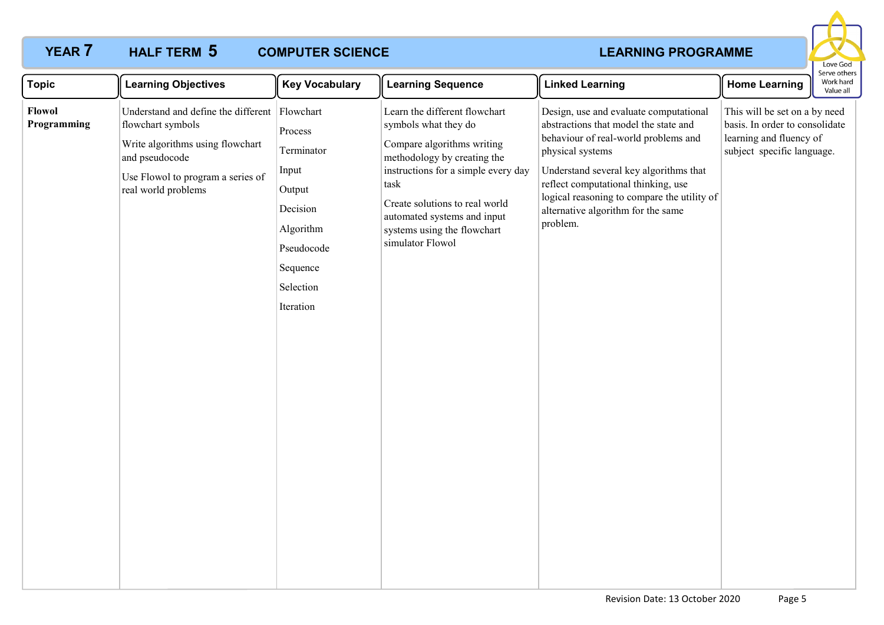# **YEAR 7 HALF TERM 5 COMPUTER SCIENCE COMPUTER SCIENCE COMPUTER SCIENCE**

## **COMPUTER SCIENCE**



| <b>Topic</b>          | <b>Learning Objectives</b>                                                                                                                                                           | <b>Key Vocabulary</b>                                                                                                 | <b>Learning Sequence</b>                                                                                                                                                                                                                                                              | <b>Linked Learning</b>                                                                                                                                                                                                                                                                                                        | <b>Home Learning</b>                                                                                                     | erve otrier<br>Work hard<br>Value all |
|-----------------------|--------------------------------------------------------------------------------------------------------------------------------------------------------------------------------------|-----------------------------------------------------------------------------------------------------------------------|---------------------------------------------------------------------------------------------------------------------------------------------------------------------------------------------------------------------------------------------------------------------------------------|-------------------------------------------------------------------------------------------------------------------------------------------------------------------------------------------------------------------------------------------------------------------------------------------------------------------------------|--------------------------------------------------------------------------------------------------------------------------|---------------------------------------|
| Flowol<br>Programming | Understand and define the different Flowchart<br>flowchart symbols<br>Write algorithms using flowchart<br>and pseudocode<br>Use Flowol to program a series of<br>real world problems | Process<br>Terminator<br>Input<br>Output<br>Decision<br>Algorithm<br>Pseudocode<br>Sequence<br>Selection<br>Iteration | Learn the different flowchart<br>symbols what they do<br>Compare algorithms writing<br>methodology by creating the<br>instructions for a simple every day<br>task<br>Create solutions to real world<br>automated systems and input<br>systems using the flowchart<br>simulator Flowol | Design, use and evaluate computational<br>abstractions that model the state and<br>behaviour of real-world problems and<br>physical systems<br>Understand several key algorithms that<br>reflect computational thinking, use<br>logical reasoning to compare the utility of<br>alternative algorithm for the same<br>problem. | This will be set on a by need<br>basis. In order to consolidate<br>learning and fluency of<br>subject specific language. |                                       |